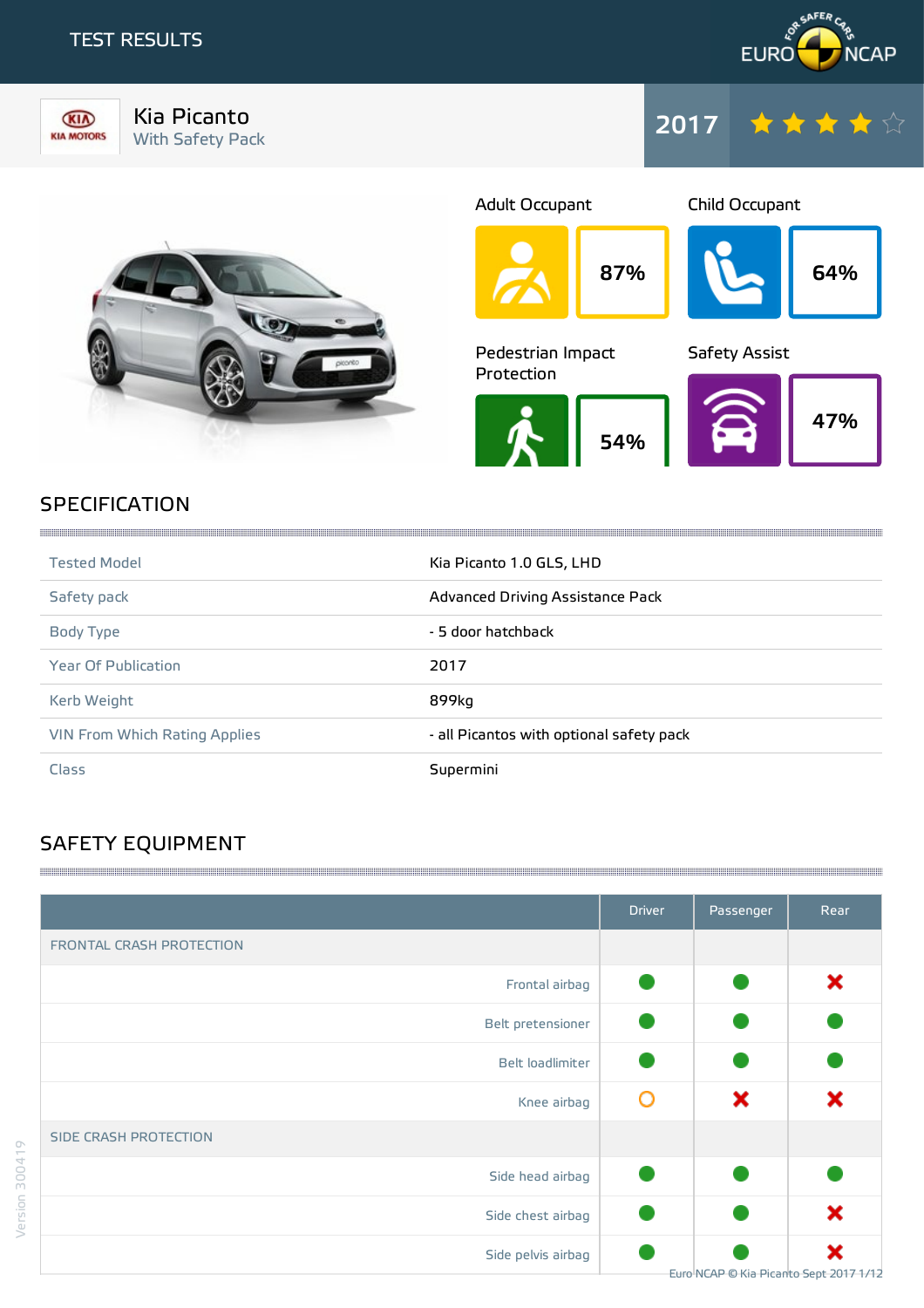# TEST RESULTS





Kia Picanto Kia Picanto<br>With Safety Pack 2017





87% Adult Occupant 64% Child Occupant 54% Pedestrian Impact Protection 47% Safety Assist

# **SPECIFICATION**

| <b>Tested Model</b>           | Kia Picanto 1.0 GLS, LHD                 |
|-------------------------------|------------------------------------------|
| Safety pack                   | Advanced Driving Assistance Pack         |
| Body Type                     | - 5 door hatchback                       |
| <b>Year Of Publication</b>    | 2017                                     |
| Kerb Weight                   | 899kg                                    |
| VIN From Which Rating Applies | - all Picantos with optional safety pack |
| Class                         | Supermini                                |

,我们的时候,我们的时候,我们的时候,我们的时候,我们的时候,我们的时候,我们的时候,我们的时候,我们的时候,我们的时候,我们的时候,我们的时候,我们的时候,我们

# SAFETY EQUIPMENT

|                              | <b>Driver</b> | Passenger                              | Rear |
|------------------------------|---------------|----------------------------------------|------|
| FRONTAL CRASH PROTECTION     |               |                                        |      |
| Frontal airbag               |               |                                        | ×    |
| Belt pretensioner            |               |                                        |      |
| Belt loadlimiter             |               |                                        |      |
| Knee airbag                  | O             | ×                                      | ×    |
| <b>SIDE CRASH PROTECTION</b> |               |                                        |      |
| Side head airbag             |               |                                        |      |
| Side chest airbag            |               |                                        | ×    |
| Side pelvis airbag           |               | Euro NCAP © Kia Picanto Sept 2017 1/12 | ×    |

and the contract of the contract of the contract of the contract of the contract of the contract of the contract of the contract of the contract of the contract of the contract of the contract of the contract of the contra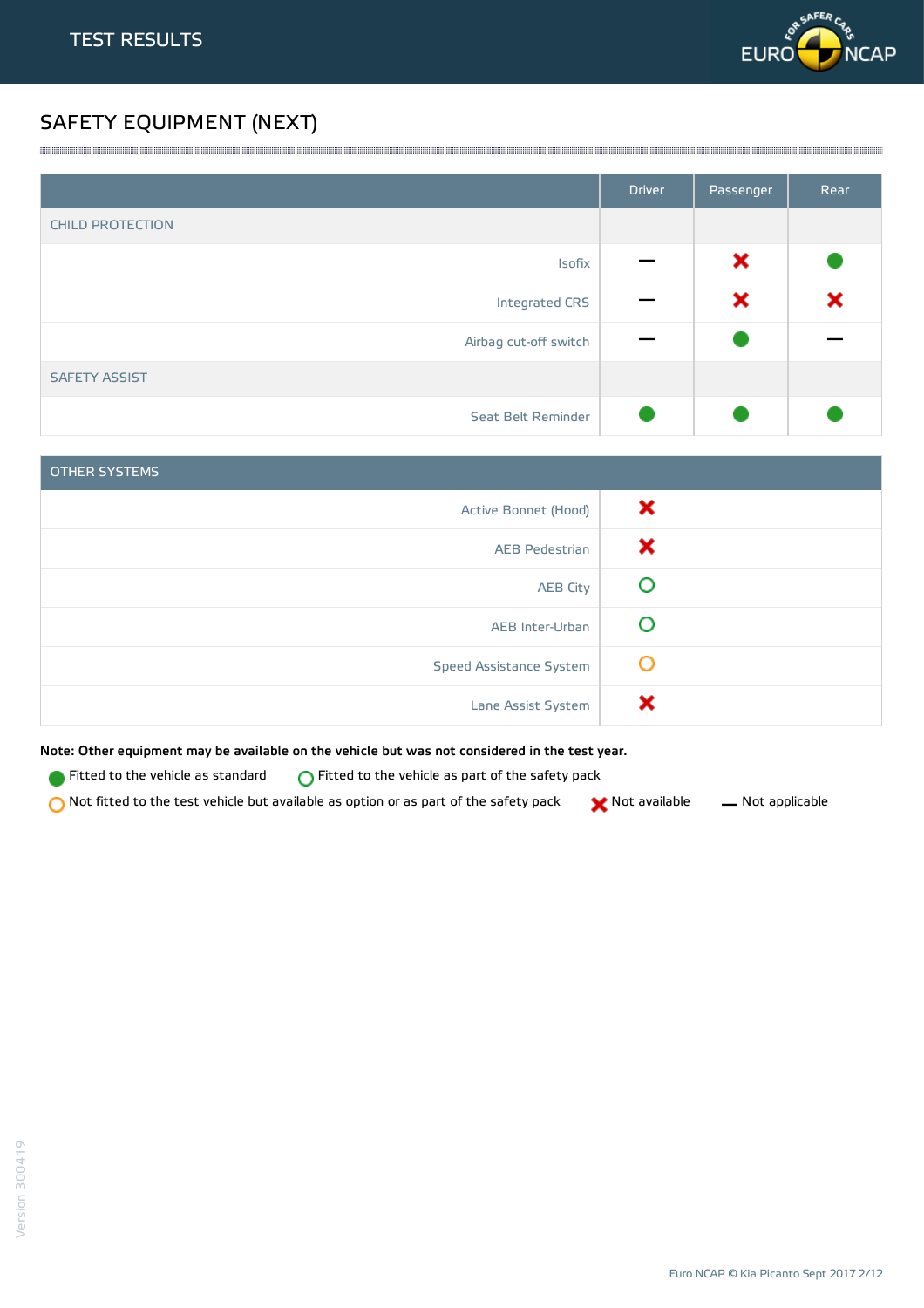

# SAFETY EQUIPMENT (NEXT)

|                         | <b>Driver</b> | Passenger | Rear |
|-------------------------|---------------|-----------|------|
| <b>CHILD PROTECTION</b> |               |           |      |
| Isofix                  |               | ×         |      |
| Integrated CRS          |               | ×         | ×    |
| Airbag cut-off switch   |               |           |      |
| <b>SAFETY ASSIST</b>    |               |           |      |
| Seat Belt Reminder      |               |           |      |

<u> 1989 - Andrea Stadt Stadt Stadt Stadt Stadt Stadt Stadt Stadt Stadt Stadt Stadt Stadt Stadt Stadt Stadt Stadt Stadt Stadt Stadt Stadt Stadt Stadt Stadt Stadt Stadt Stadt Stadt Stadt Stadt Stadt Stadt Stadt Stadt Stadt St</u>

| <b>OTHER SYSTEMS</b>    |   |
|-------------------------|---|
| Active Bonnet (Hood)    | × |
| <b>AEB Pedestrian</b>   | х |
| <b>AEB City</b>         |   |
| AEB Inter-Urban         |   |
| Speed Assistance System | O |
| Lane Assist System      |   |

Note: Other equipment may be available on the vehicle but was not considered in the test year.

Fitted to the vehicle as standard  $\bigcirc$  Fitted to the vehicle as part of the safety pack

 $\bigcirc$  Not fitted to the test vehicle but available as option or as part of the safety pack  $\bigcirc$  Not available  $\qquad$  Not applicable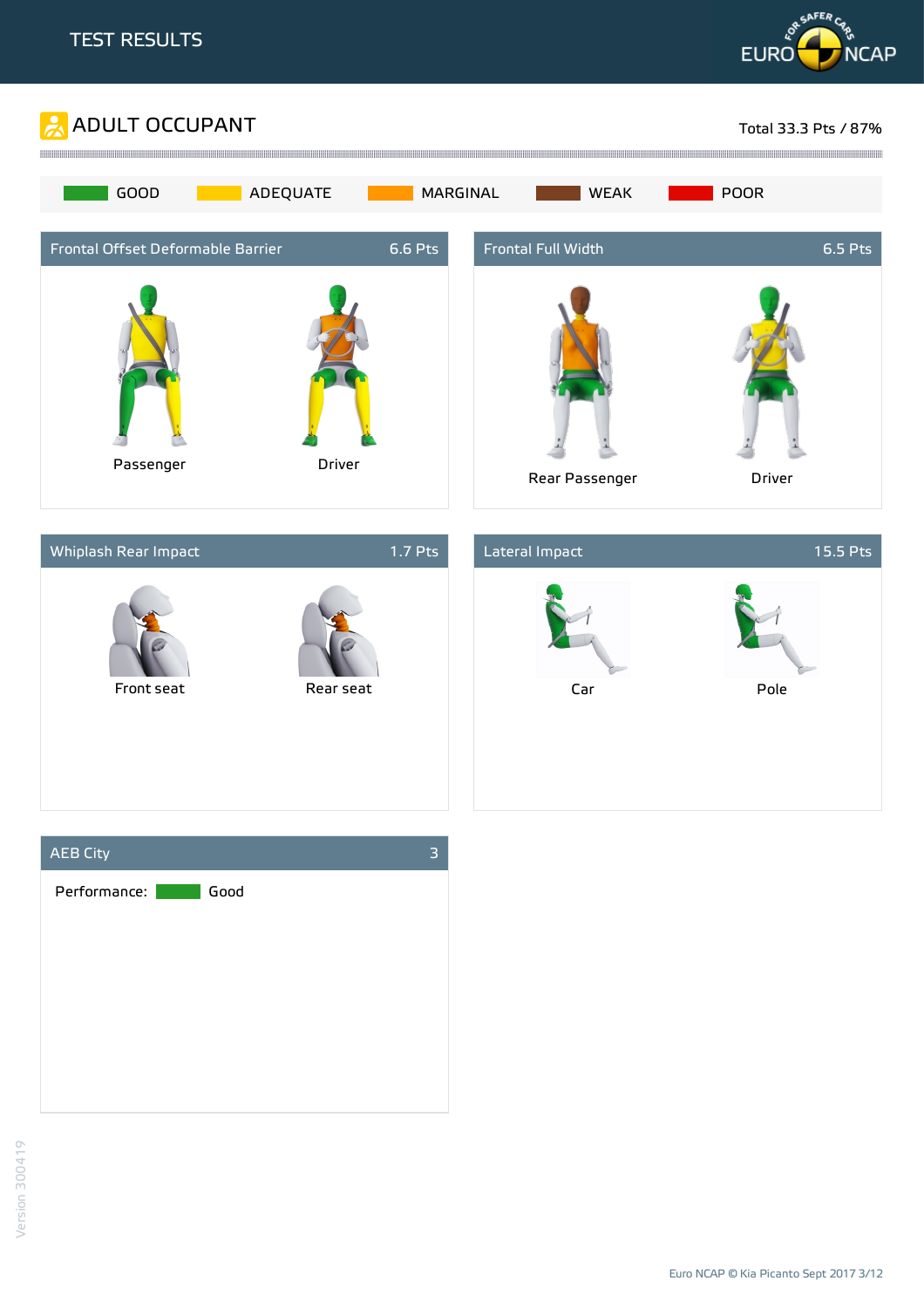







Euro NCAP © Kia Picanto Sept 2017 3/12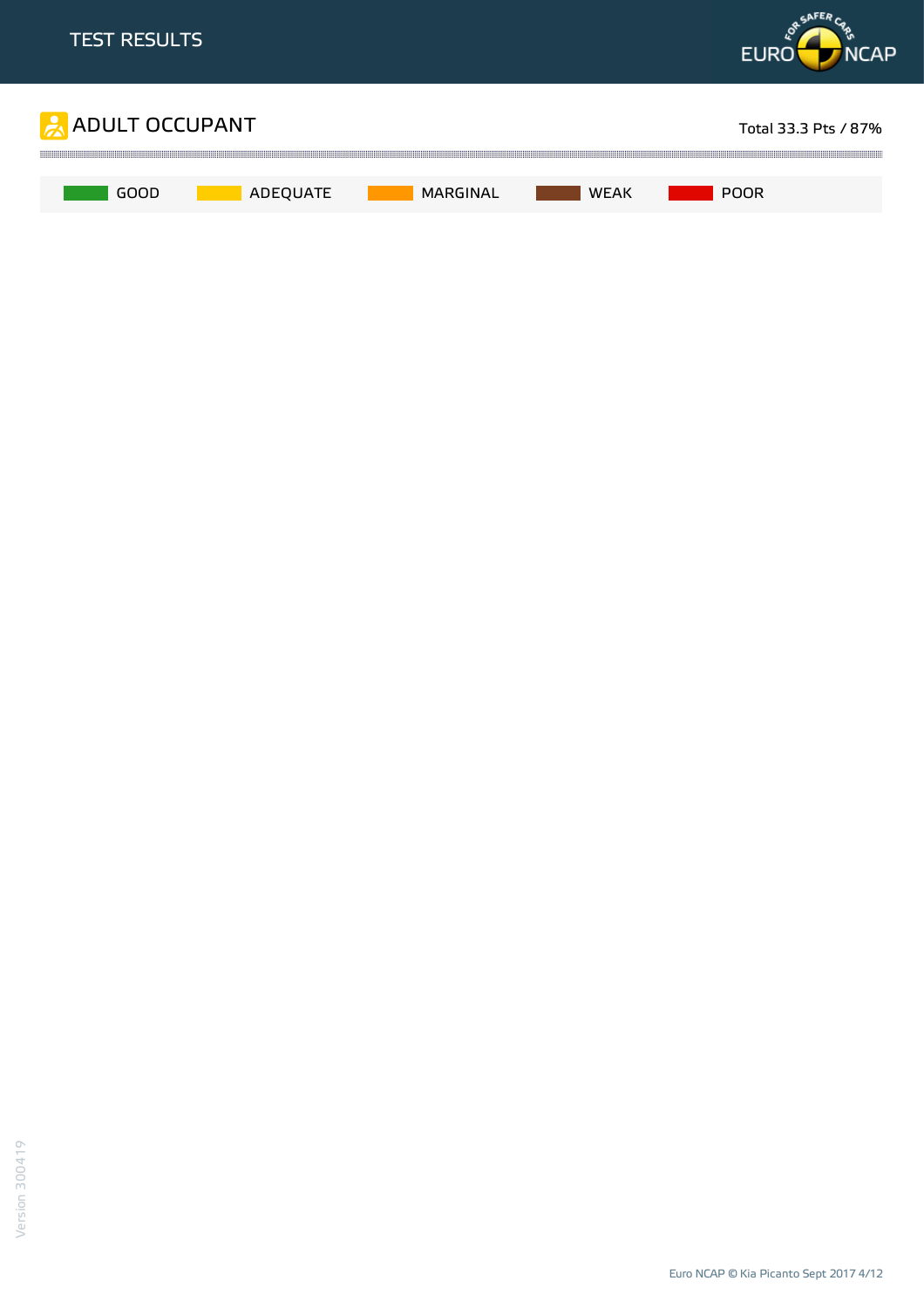

Euro NCAP © Kia Picanto Sept 2017 4/12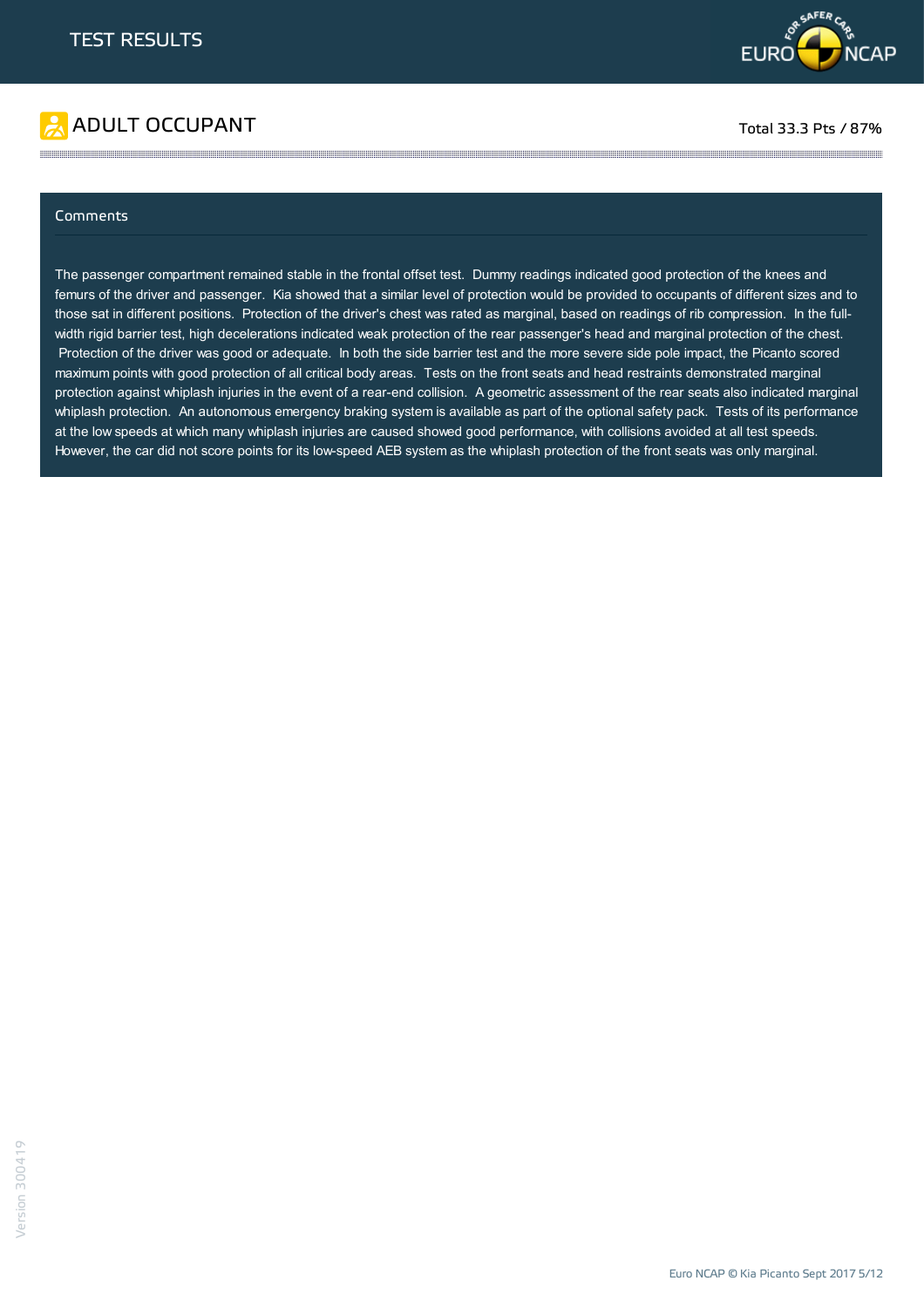



#### Comments

The passenger compartment remained stable in the frontal offset test. Dummy readings indicated good protection of the knees and femurs of the driver and passenger. Kia showed that a similar level of protection would be provided to occupants of different sizes and to those sat in different positions. Protection of the driver's chest was rated as marginal, based on readings of rib compression. In the fullwidth rigid barrier test, high decelerations indicated weak protection of the rear passenger's head and marginal protection of the chest. Protection of the driver was good or adequate. In both the side barrier test and the more severe side pole impact, the Picanto scored maximum points with good protection of all critical body areas. Tests on the front seats and head restraints demonstrated marginal protection against whiplash injuries in the event of a rear-end collision. A geometric assessment of the rear seats also indicated marginal whiplash protection. An autonomous emergency braking system is available as part of the optional safety pack. Tests of its performance at the low speeds at which many whiplash injuries are caused showed good performance, with collisions avoided at all test speeds. However, the car did not score points for its low-speed AEB system as the whiplash protection of the front seats was only marginal.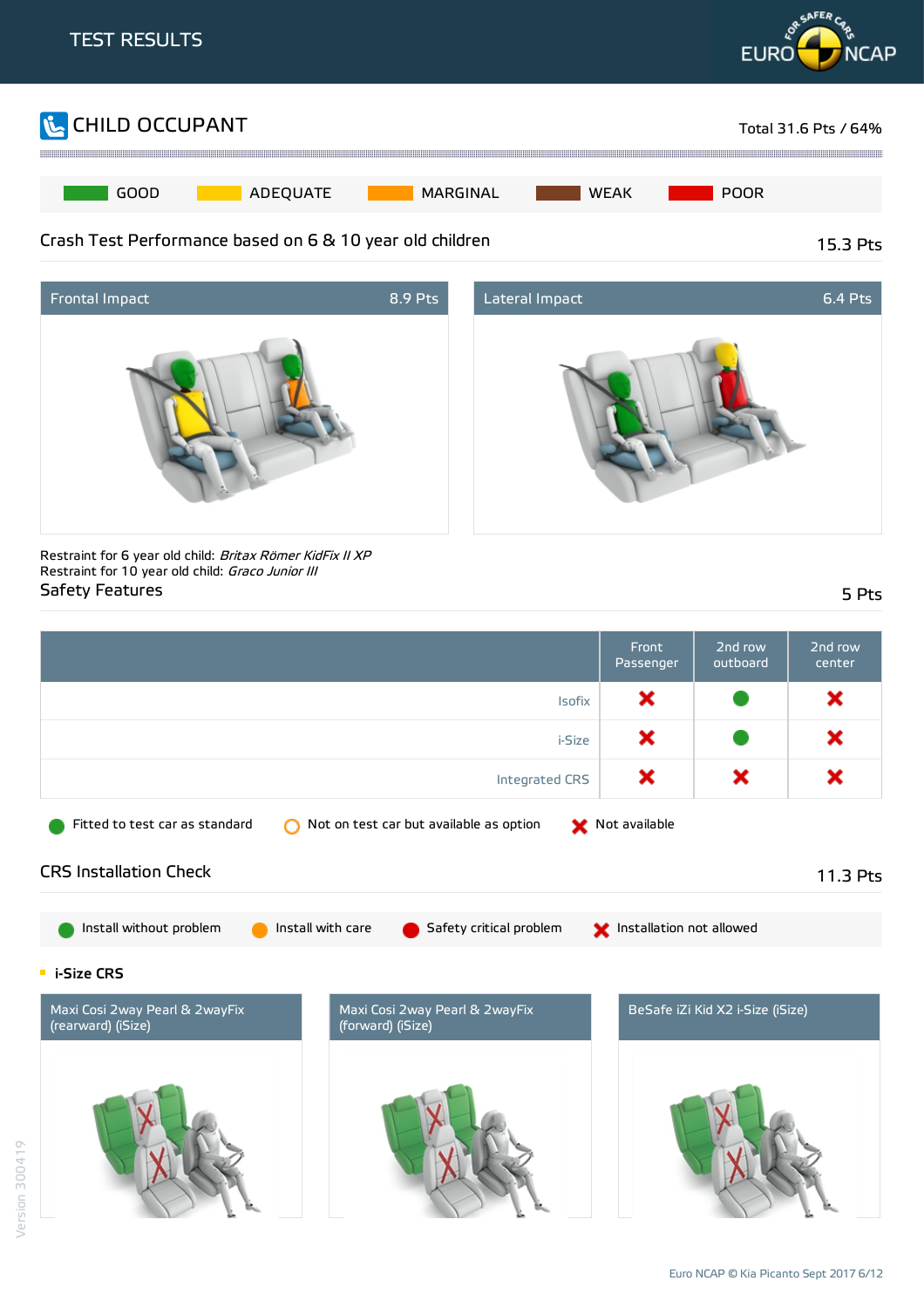





Restraint for 6 year old child: Britax Römer KidFix II XP Restraint for 10 year old child: Graco Junior III Safety Features 5 Pts

|                                                                                                             | Front<br>Passenger       | 2nd row<br>outboard              | 2nd row<br>center |
|-------------------------------------------------------------------------------------------------------------|--------------------------|----------------------------------|-------------------|
| Isofix                                                                                                      | ×                        |                                  | ×                 |
| i-Size                                                                                                      | ×                        |                                  | ×                 |
| Integrated CRS                                                                                              | ×                        | ×                                | ×                 |
| Not on test car but available as option<br>Fitted to test car as standard<br>◠                              | Not available            |                                  |                   |
| <b>CRS Installation Check</b>                                                                               |                          |                                  | 11.3 Pts          |
| Install without problem<br>Install with care<br>Safety critical problem                                     | Installation not allowed |                                  |                   |
| <b>E</b> i-Size CRS                                                                                         |                          |                                  |                   |
| Maxi Cosi 2way Pearl & 2wayFix<br>Maxi Cosi 2way Pearl & 2wayFix<br>(rearward) (iSize)<br>(forward) (iSize) |                          | BeSafe iZi Kid X2 i-Size (iSize) |                   |
|                                                                                                             |                          |                                  |                   |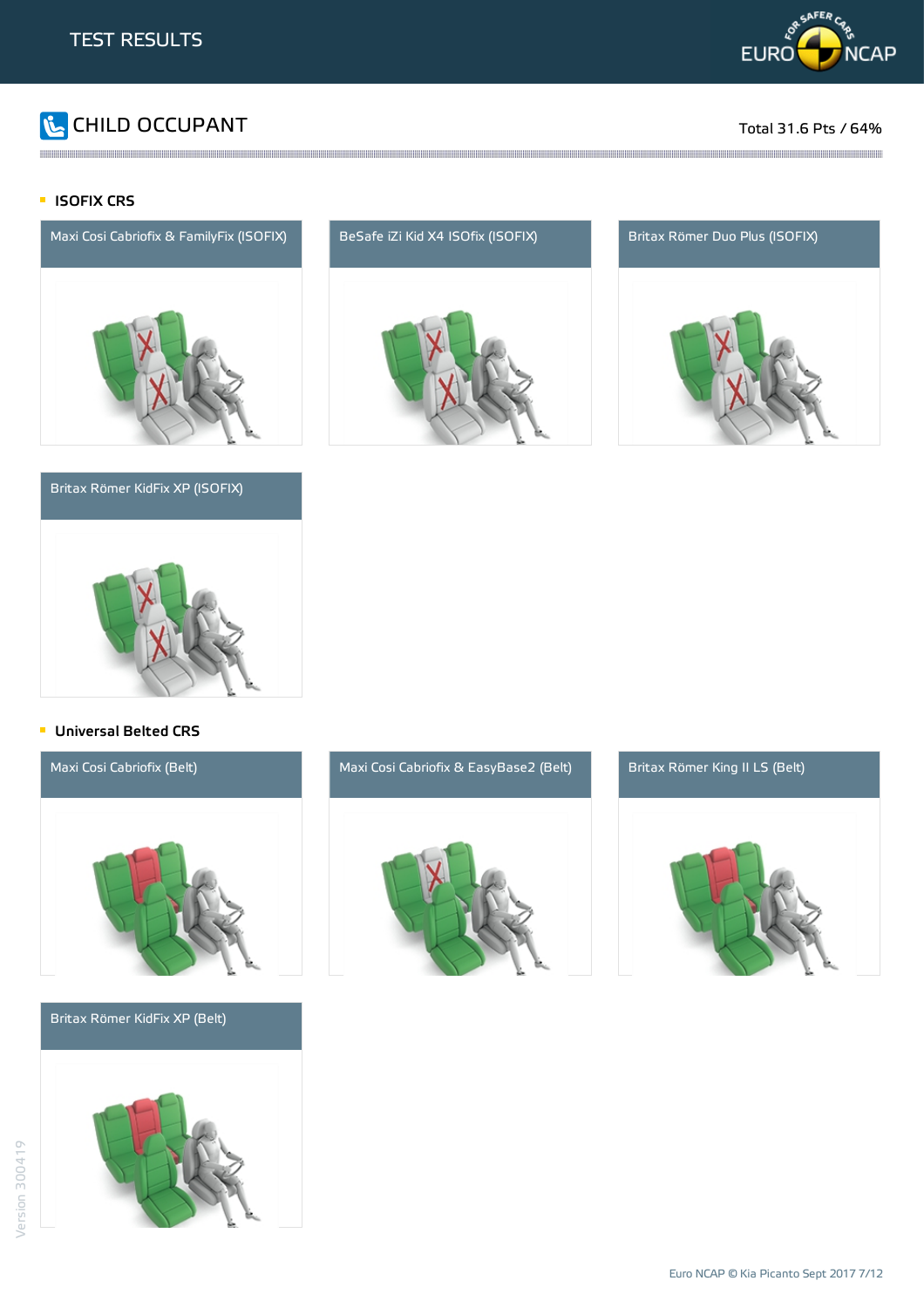

# CHILD OCCUPANT Total 31.6 Pts / 64%

#### **ISOFIX CRS**



#### Britax Römer KidFix XP (ISOFIX)



and the contract of the contract of the contract of the contract of the contract of the contract of the contract of the contract of the contract of the contract of the contract of the contract of the contract of the contra





#### **Universal Belted CRS**



Britax Römer KidFix XP (Belt)





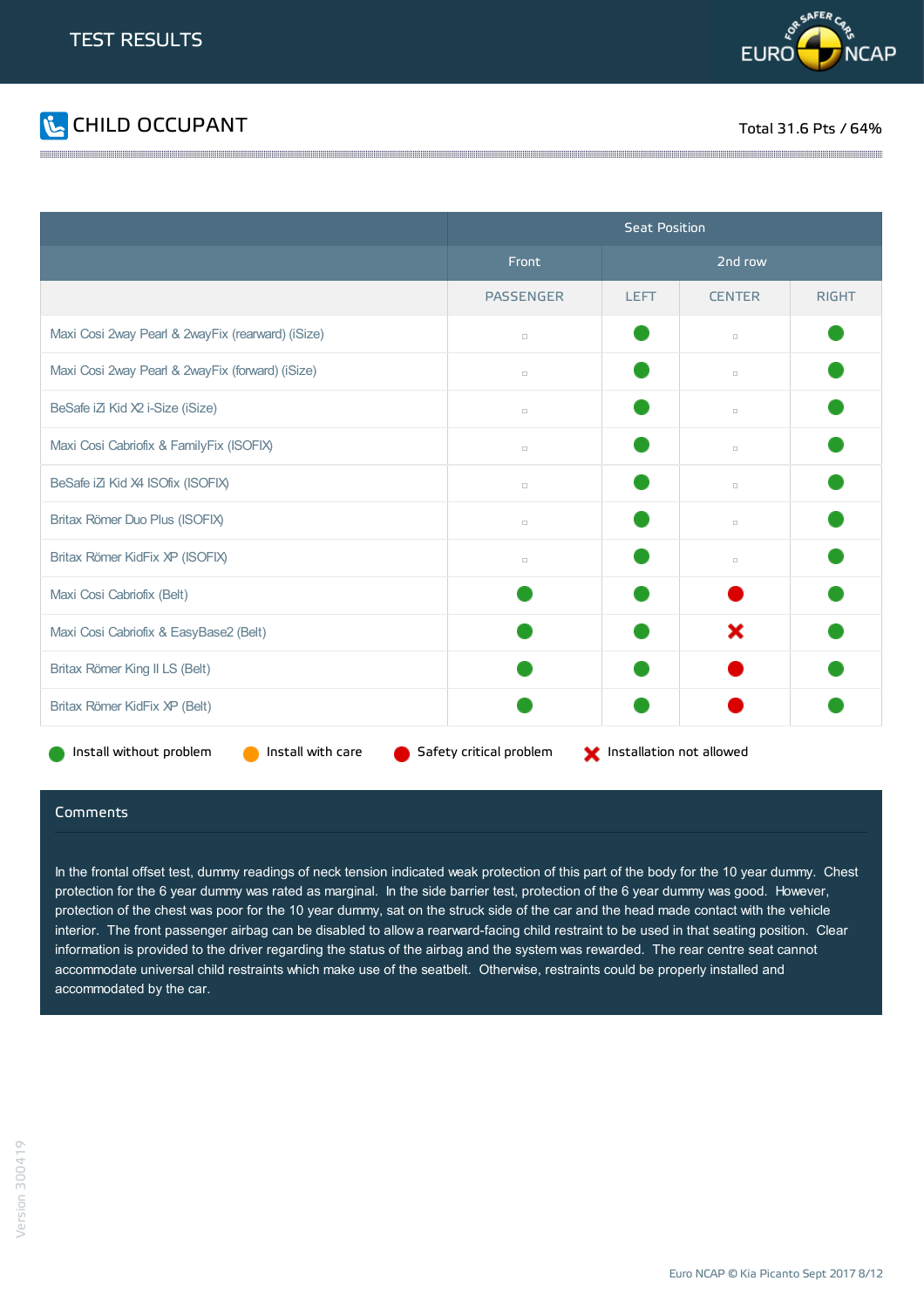



|                                                   | <b>Seat Position</b>                                |             |               |              |  |
|---------------------------------------------------|-----------------------------------------------------|-------------|---------------|--------------|--|
|                                                   | Front                                               | 2nd row     |               |              |  |
|                                                   | <b>PASSENGER</b>                                    | <b>LEFT</b> | <b>CENTER</b> | <b>RIGHT</b> |  |
| Maxi Cosi 2way Pearl & 2wayFix (rearward) (iSize) | $\Box$                                              |             | $\Box$        |              |  |
| Maxi Cosi 2way Pearl & 2wayFix (forward) (iSize)  | $\Box$                                              |             | $\Box$        |              |  |
| BeSafe iZi Kid X2 i-Size (iSize)                  | $\Box$                                              |             | $\Box$        |              |  |
| Maxi Cosi Cabriofix & FamilyFix (ISOFIX)          | $\Box$                                              |             | $\Box$        |              |  |
| BeSafe iZi Kid X4 ISOfix (ISOFIX)                 | $\Box$                                              |             | $\Box$        |              |  |
| Britax Römer Duo Plus (ISOFIX)                    | $\Box$                                              |             | $\Box$        |              |  |
| Britax Römer KidFix XP (ISOFIX)                   | $\Box$                                              |             | $\Box$        |              |  |
| Maxi Cosi Cabriofix (Belt)                        |                                                     |             |               |              |  |
| Maxi Cosi Cabriofix & EasyBase2 (Belt)            |                                                     |             | ×             |              |  |
| Britax Römer King II LS (Belt)                    |                                                     |             |               |              |  |
| Britax Römer KidFix XP (Belt)                     |                                                     |             |               |              |  |
| Install with care<br>Install without problem      | Safety critical problem<br>Installation not allowed |             |               |              |  |

#### Comments

In the frontal offset test, dummy readings of neck tension indicated weak protection of this part of the body for the 10 year dummy. Chest protection for the 6 year dummy was rated as marginal. In the side barrier test, protection of the 6 year dummy was good. However, protection of the chest was poor for the 10 year dummy, sat on the struck side of the car and the head made contact with the vehicle interior. The front passenger airbag can be disabled to allow a rearward-facing child restraint to be used in that seating position. Clear information is provided to the driver regarding the status of the airbag and the system was rewarded. The rear centre seat cannot accommodate universal child restraints which make use of the seatbelt. Otherwise, restraints could be properly installed and accommodated by the car.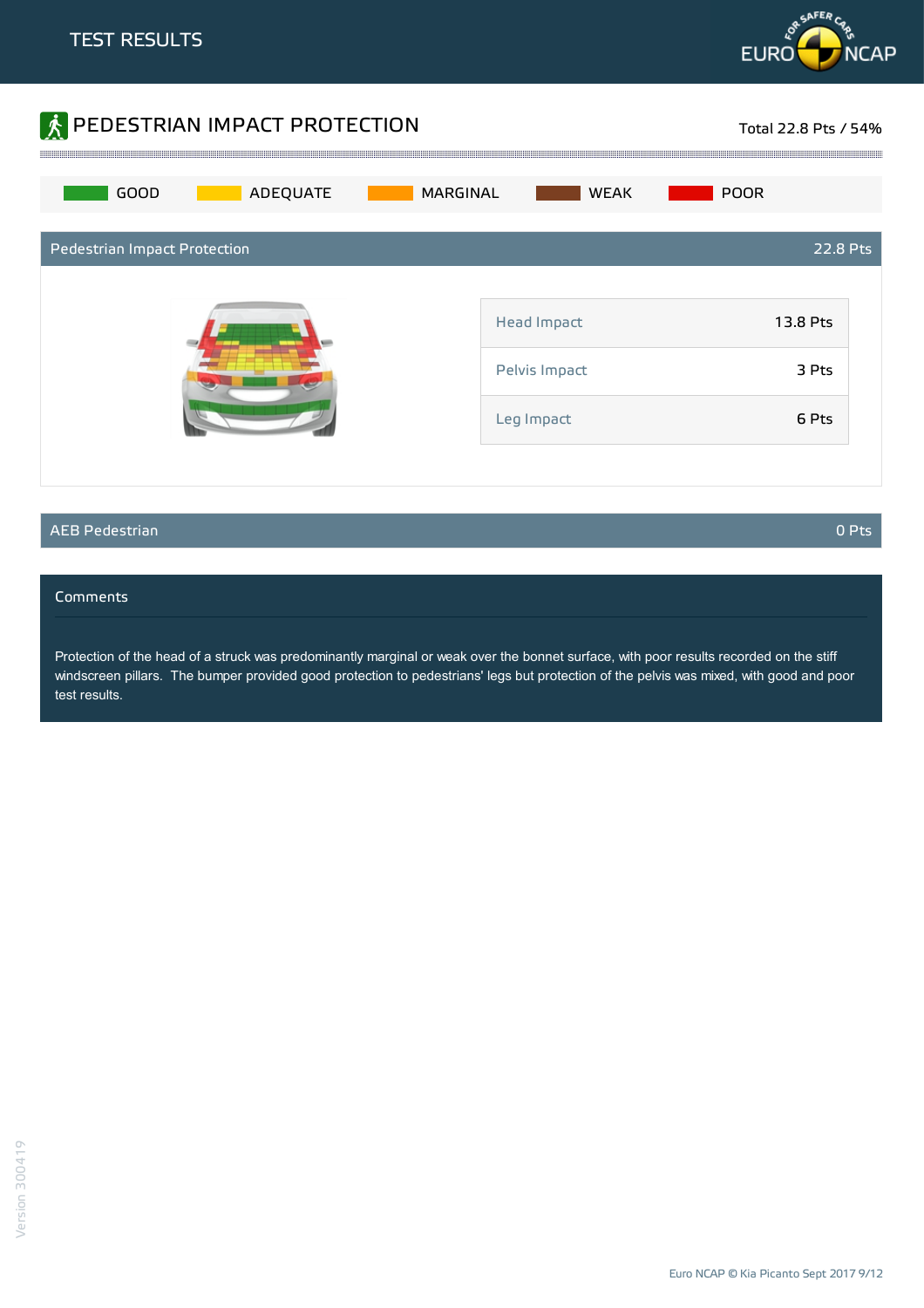



### AEB Pedestrian 0 Pts

#### Comments

Protection of the head of a struck was predominantly marginal or weak over the bonnet surface, with poor results recorded on the stiff windscreen pillars. The bumper provided good protection to pedestrians' legs but protection of the pelvis was mixed, with good and poor test results.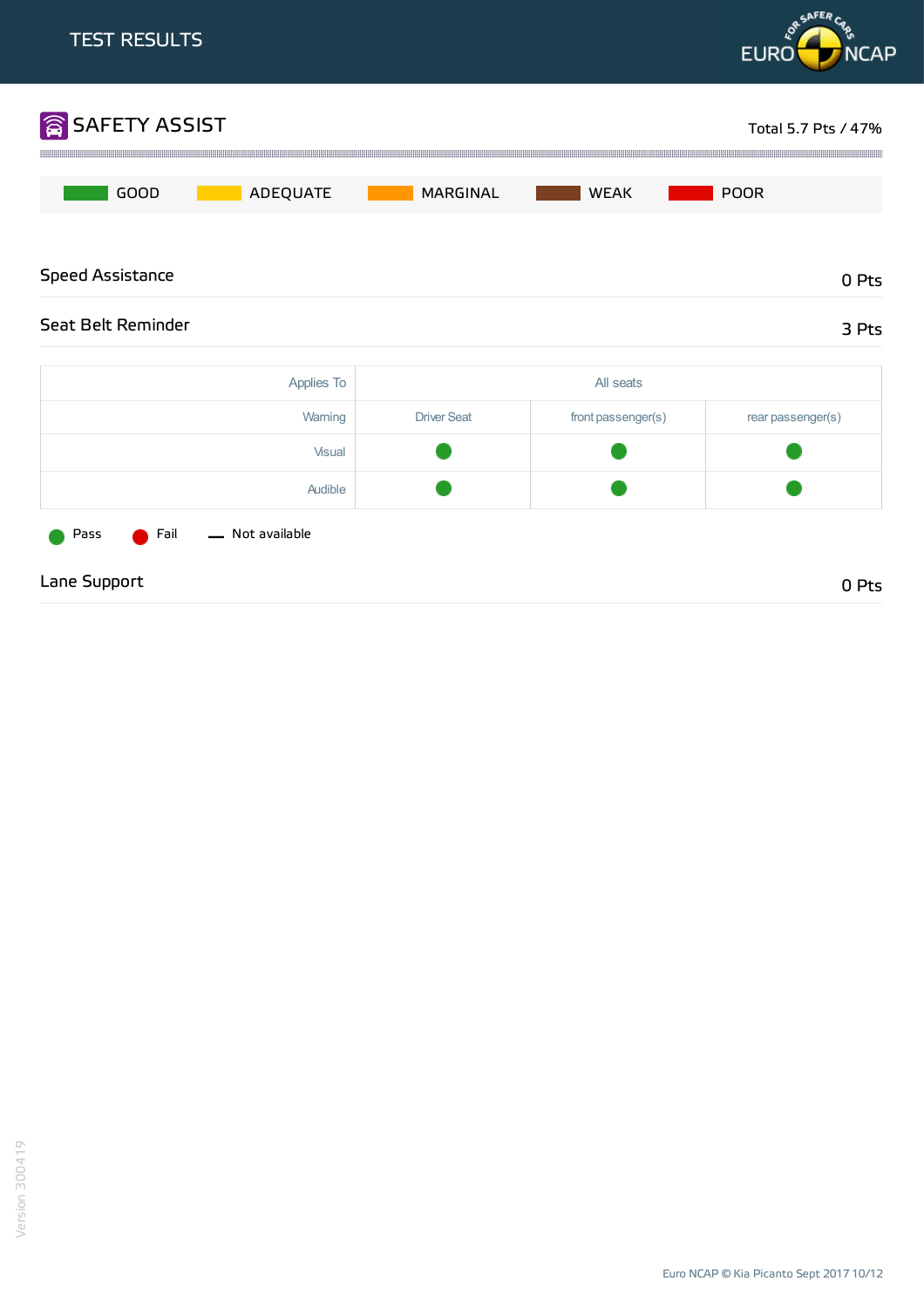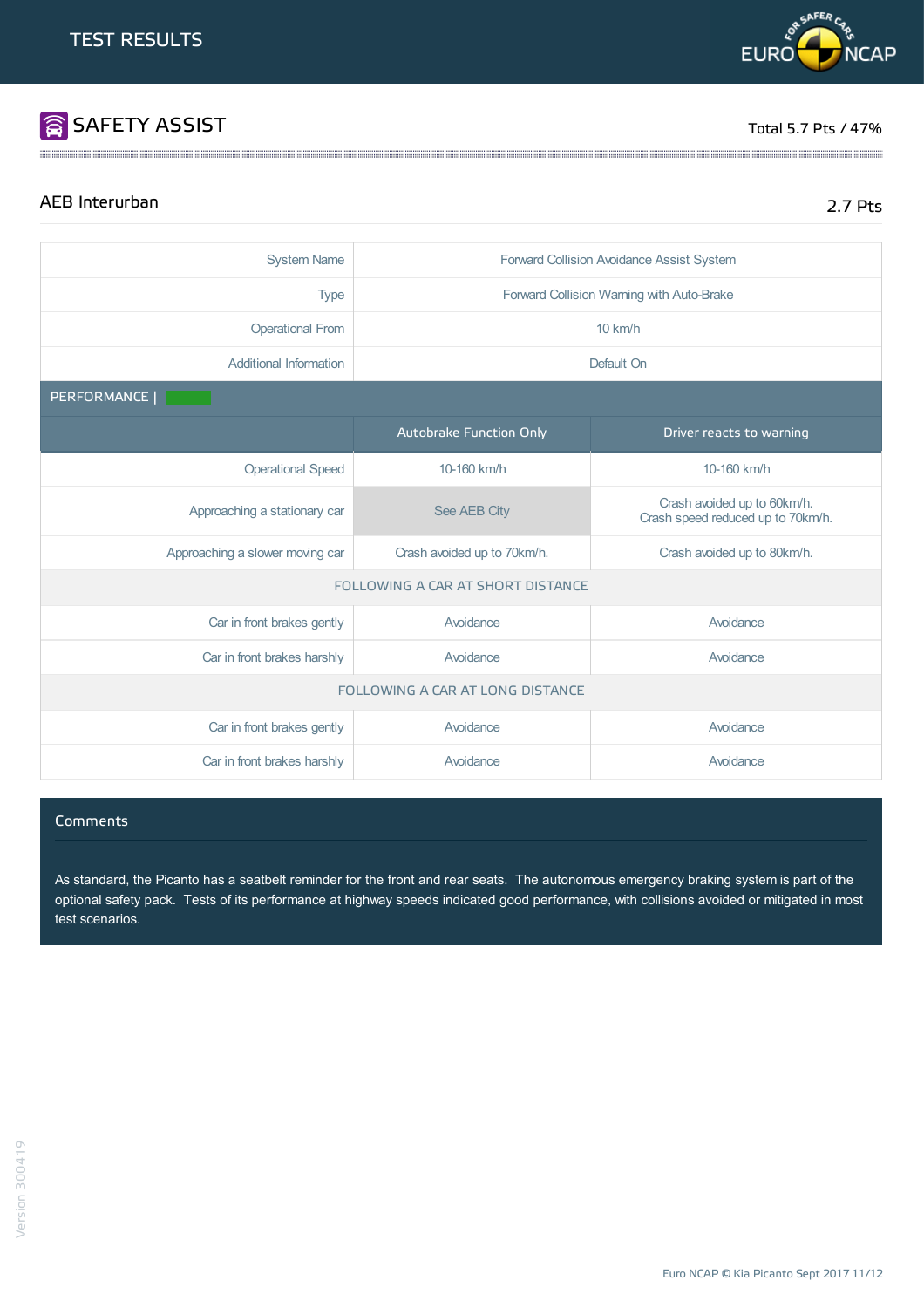# SAFETY ASSIST TOTAL SERVICE TO A SAFETY ASSIST

**DR SAFER CF** 

**EURO** 

# AEB Interurban 2.7 Pts

**NCAP** 

| <b>System Name</b>                | Forward Collision Avoidance Assist System                  |                                                                  |  |  |
|-----------------------------------|------------------------------------------------------------|------------------------------------------------------------------|--|--|
| <b>Type</b>                       | Forward Collision Warning with Auto-Brake                  |                                                                  |  |  |
| <b>Operational From</b>           |                                                            | 10 km/h                                                          |  |  |
| Additional Information            |                                                            | Default On                                                       |  |  |
| PERFORMANCE                       |                                                            |                                                                  |  |  |
|                                   | Autobrake Function Only                                    | Driver reacts to warning                                         |  |  |
| <b>Operational Speed</b>          | 10-160 km/h                                                | 10-160 km/h                                                      |  |  |
| Approaching a stationary car      | See AEB City                                               | Crash avoided up to 60km/h.<br>Crash speed reduced up to 70km/h. |  |  |
| Approaching a slower moving car   | Crash avoided up to 80km/h.<br>Crash avoided up to 70km/h. |                                                                  |  |  |
| FOLLOWING A CAR AT SHORT DISTANCE |                                                            |                                                                  |  |  |
| Car in front brakes gently        | Avoidance                                                  | Avoidance                                                        |  |  |
| Car in front brakes harshly       | Avoidance                                                  | Avoidance                                                        |  |  |
| FOLLOWING A CAR AT LONG DISTANCE  |                                                            |                                                                  |  |  |
| Car in front brakes gently        | Avoidance                                                  | Avoidance                                                        |  |  |
| Car in front brakes harshly       | Avoidance                                                  | Avoidance                                                        |  |  |

#### **Comments**

As standard, the Picanto has a seatbelt reminder for the front and rear seats. The autonomous emergency braking system is part of the optional safety pack. Tests of its performance at highway speeds indicated good performance, with collisions avoided or mitigated in most test scenarios.